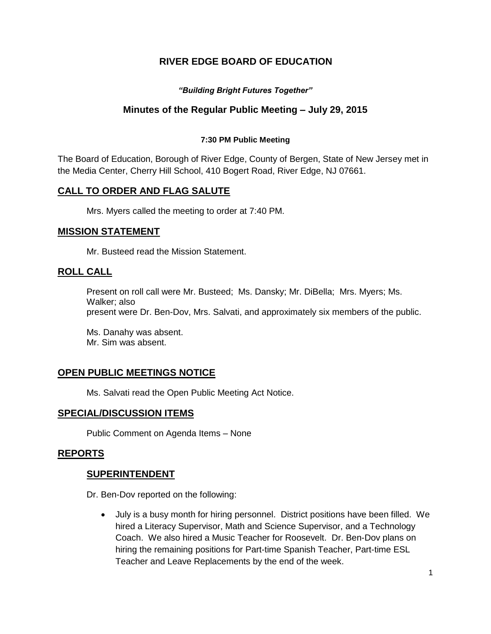# **RIVER EDGE BOARD OF EDUCATION**

## *"Building Bright Futures Together"*

## **Minutes of the Regular Public Meeting – July 29, 2015**

#### **7:30 PM Public Meeting**

The Board of Education, Borough of River Edge, County of Bergen, State of New Jersey met in the Media Center, Cherry Hill School, 410 Bogert Road, River Edge, NJ 07661.

## **CALL TO ORDER AND FLAG SALUTE**

Mrs. Myers called the meeting to order at 7:40 PM.

### **MISSION STATEMENT**

Mr. Busteed read the Mission Statement.

### **ROLL CALL**

Present on roll call were Mr. Busteed; Ms. Dansky; Mr. DiBella; Mrs. Myers; Ms. Walker; also present were Dr. Ben-Dov, Mrs. Salvati, and approximately six members of the public.

Ms. Danahy was absent. Mr. Sim was absent.

## **OPEN PUBLIC MEETINGS NOTICE**

Ms. Salvati read the Open Public Meeting Act Notice.

### **SPECIAL/DISCUSSION ITEMS**

Public Comment on Agenda Items – None

### **REPORTS**

### **SUPERINTENDENT**

Dr. Ben-Dov reported on the following:

 July is a busy month for hiring personnel. District positions have been filled. We hired a Literacy Supervisor, Math and Science Supervisor, and a Technology Coach. We also hired a Music Teacher for Roosevelt. Dr. Ben-Dov plans on hiring the remaining positions for Part-time Spanish Teacher, Part-time ESL Teacher and Leave Replacements by the end of the week.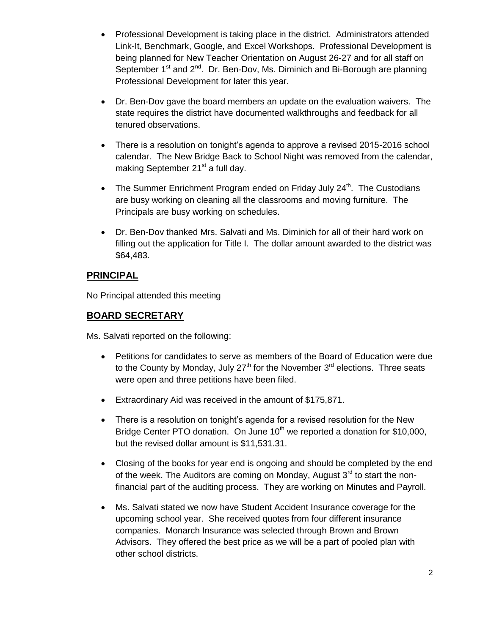- Professional Development is taking place in the district. Administrators attended Link-It, Benchmark, Google, and Excel Workshops. Professional Development is being planned for New Teacher Orientation on August 26-27 and for all staff on September 1<sup>st</sup> and 2<sup>nd</sup>. Dr. Ben-Dov, Ms. Diminich and Bi-Borough are planning Professional Development for later this year.
- Dr. Ben-Dov gave the board members an update on the evaluation waivers. The state requires the district have documented walkthroughs and feedback for all tenured observations.
- There is a resolution on tonight's agenda to approve a revised 2015-2016 school calendar. The New Bridge Back to School Night was removed from the calendar, making September 21<sup>st</sup> a full day.
- The Summer Enrichment Program ended on Friday July  $24<sup>th</sup>$ . The Custodians are busy working on cleaning all the classrooms and moving furniture. The Principals are busy working on schedules.
- Dr. Ben-Dov thanked Mrs. Salvati and Ms. Diminich for all of their hard work on filling out the application for Title I. The dollar amount awarded to the district was \$64,483.

## **PRINCIPAL**

No Principal attended this meeting

## **BOARD SECRETARY**

Ms. Salvati reported on the following:

- Petitions for candidates to serve as members of the Board of Education were due to the County by Monday, July 27<sup>th</sup> for the November  $3<sup>rd</sup>$  elections. Three seats were open and three petitions have been filed.
- Extraordinary Aid was received in the amount of \$175,871.
- There is a resolution on tonight's agenda for a revised resolution for the New Bridge Center PTO donation. On June 10<sup>th</sup> we reported a donation for \$10,000, but the revised dollar amount is \$11,531.31.
- Closing of the books for year end is ongoing and should be completed by the end of the week. The Auditors are coming on Monday, August  $3<sup>rd</sup>$  to start the nonfinancial part of the auditing process. They are working on Minutes and Payroll.
- Ms. Salvati stated we now have Student Accident Insurance coverage for the upcoming school year. She received quotes from four different insurance companies. Monarch Insurance was selected through Brown and Brown Advisors. They offered the best price as we will be a part of pooled plan with other school districts.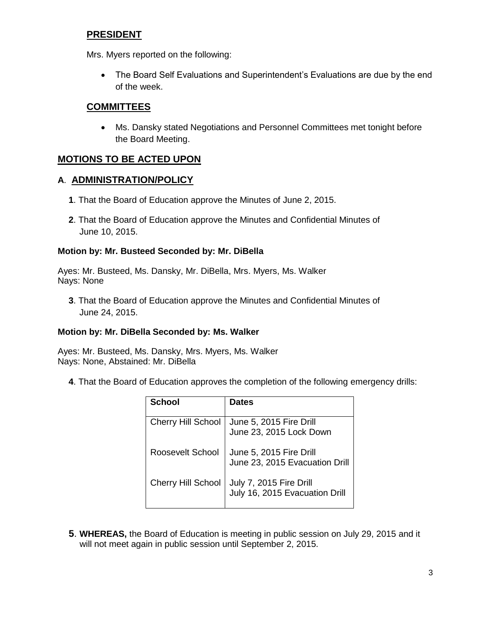## **PRESIDENT**

Mrs. Myers reported on the following:

 The Board Self Evaluations and Superintendent's Evaluations are due by the end of the week.

## **COMMITTEES**

 Ms. Dansky stated Negotiations and Personnel Committees met tonight before the Board Meeting.

# **MOTIONS TO BE ACTED UPON**

## **A**. **ADMINISTRATION/POLICY**

- **1**. That the Board of Education approve the Minutes of June 2, 2015.
- **2**. That the Board of Education approve the Minutes and Confidential Minutes of June 10, 2015.

### **Motion by: Mr. Busteed Seconded by: Mr. DiBella**

Ayes: Mr. Busteed, Ms. Dansky, Mr. DiBella, Mrs. Myers, Ms. Walker Nays: None

**3**. That the Board of Education approve the Minutes and Confidential Minutes of June 24, 2015.

### **Motion by: Mr. DiBella Seconded by: Ms. Walker**

Ayes: Mr. Busteed, Ms. Dansky, Mrs. Myers, Ms. Walker Nays: None, Abstained: Mr. DiBella

**4**. That the Board of Education approves the completion of the following emergency drills:

| <b>School</b>             | <b>Dates</b>                                              |
|---------------------------|-----------------------------------------------------------|
| <b>Cherry Hill School</b> | June 5, 2015 Fire Drill<br>June 23, 2015 Lock Down        |
| Roosevelt School          | June 5, 2015 Fire Drill<br>June 23, 2015 Evacuation Drill |
| <b>Cherry Hill School</b> | July 7, 2015 Fire Drill<br>July 16, 2015 Evacuation Drill |

**5**. **WHEREAS,** the Board of Education is meeting in public session on July 29, 2015 and it will not meet again in public session until September 2, 2015.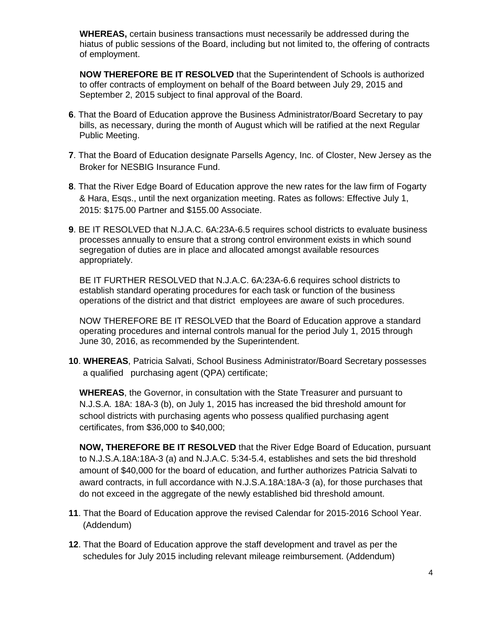**WHEREAS,** certain business transactions must necessarily be addressed during the hiatus of public sessions of the Board, including but not limited to, the offering of contracts of employment.

**NOW THEREFORE BE IT RESOLVED** that the Superintendent of Schools is authorized to offer contracts of employment on behalf of the Board between July 29, 2015 and September 2, 2015 subject to final approval of the Board.

- **6**. That the Board of Education approve the Business Administrator/Board Secretary to pay bills, as necessary, during the month of August which will be ratified at the next Regular Public Meeting.
- **7**. That the Board of Education designate Parsells Agency, Inc. of Closter, New Jersey as the Broker for NESBIG Insurance Fund.
- **8**. That the River Edge Board of Education approve the new rates for the law firm of Fogarty & Hara, Esqs., until the next organization meeting. Rates as follows: Effective July 1, 2015: \$175.00 Partner and \$155.00 Associate.
- **9**. BE IT RESOLVED that N.J.A.C. 6A:23A-6.5 requires school districts to evaluate business processes annually to ensure that a strong control environment exists in which sound segregation of duties are in place and allocated amongst available resources appropriately.

BE IT FURTHER RESOLVED that N.J.A.C. 6A:23A-6.6 requires school districts to establish standard operating procedures for each task or function of the business operations of the district and that district employees are aware of such procedures.

NOW THEREFORE BE IT RESOLVED that the Board of Education approve a standard operating procedures and internal controls manual for the period July 1, 2015 through June 30, 2016, as recommended by the Superintendent.

**10**. **WHEREAS**, Patricia Salvati, School Business Administrator/Board Secretary possesses a qualified purchasing agent (QPA) certificate;

**WHEREAS**, the Governor, in consultation with the State Treasurer and pursuant to N.J.S.A. 18A: 18A-3 (b), on July 1, 2015 has increased the bid threshold amount for school districts with purchasing agents who possess qualified purchasing agent certificates, from \$36,000 to \$40,000;

**NOW, THEREFORE BE IT RESOLVED** that the River Edge Board of Education, pursuant to N.J.S.A.18A:18A-3 (a) and N.J.A.C. 5:34-5.4, establishes and sets the bid threshold amount of \$40,000 for the board of education, and further authorizes Patricia Salvati to award contracts, in full accordance with N.J.S.A.18A:18A-3 (a), for those purchases that do not exceed in the aggregate of the newly established bid threshold amount.

- **11**. That the Board of Education approve the revised Calendar for 2015-2016 School Year. (Addendum)
- **12**. That the Board of Education approve the staff development and travel as per the schedules for July 2015 including relevant mileage reimbursement. (Addendum)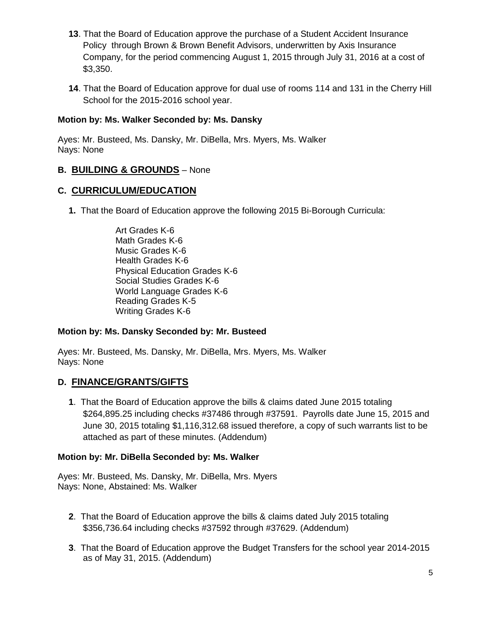- **13**. That the Board of Education approve the purchase of a Student Accident Insurance Policy through Brown & Brown Benefit Advisors, underwritten by Axis Insurance Company, for the period commencing August 1, 2015 through July 31, 2016 at a cost of \$3,350.
- **14**. That the Board of Education approve for dual use of rooms 114 and 131 in the Cherry Hill School for the 2015-2016 school year.

## **Motion by: Ms. Walker Seconded by: Ms. Dansky**

Ayes: Mr. Busteed, Ms. Dansky, Mr. DiBella, Mrs. Myers, Ms. Walker Nays: None

## **B. BUILDING & GROUNDS** – None

## **C. CURRICULUM/EDUCATION**

- **1.** That the Board of Education approve the following 2015 Bi-Borough Curricula:
	- Art Grades K-6 Math Grades K-6 Music Grades K-6 Health Grades K-6 Physical Education Grades K-6 Social Studies Grades K-6 World Language Grades K-6 Reading Grades K-5 Writing Grades K-6

## **Motion by: Ms. Dansky Seconded by: Mr. Busteed**

Ayes: Mr. Busteed, Ms. Dansky, Mr. DiBella, Mrs. Myers, Ms. Walker Nays: None

## **D. FINANCE/GRANTS/GIFTS**

**1**. That the Board of Education approve the bills & claims dated June 2015 totaling \$264,895.25 including checks #37486 through #37591. Payrolls date June 15, 2015 and June 30, 2015 totaling \$1,116,312.68 issued therefore, a copy of such warrants list to be attached as part of these minutes. (Addendum)

### **Motion by: Mr. DiBella Seconded by: Ms. Walker**

Ayes: Mr. Busteed, Ms. Dansky, Mr. DiBella, Mrs. Myers Nays: None, Abstained: Ms. Walker

- **2**. That the Board of Education approve the bills & claims dated July 2015 totaling \$356,736.64 including checks #37592 through #37629. (Addendum)
- **3**. That the Board of Education approve the Budget Transfers for the school year 2014-2015 as of May 31, 2015. (Addendum)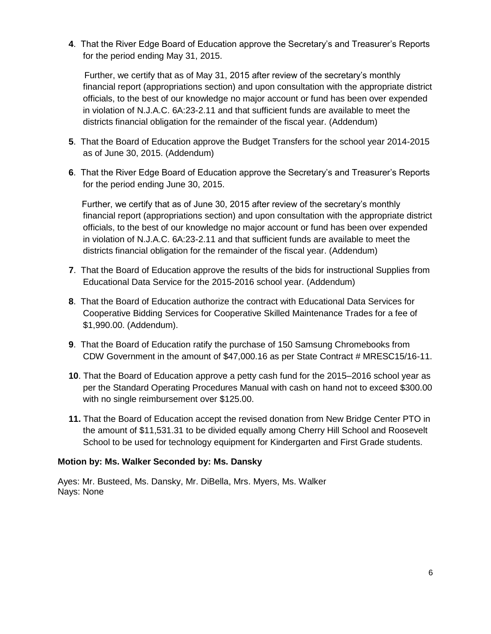**4**. That the River Edge Board of Education approve the Secretary's and Treasurer's Reports for the period ending May 31, 2015.

 Further, we certify that as of May 31, 2015 after review of the secretary's monthly financial report (appropriations section) and upon consultation with the appropriate district officials, to the best of our knowledge no major account or fund has been over expended in violation of N.J.A.C. 6A:23-2.11 and that sufficient funds are available to meet the districts financial obligation for the remainder of the fiscal year. (Addendum)

- **5**. That the Board of Education approve the Budget Transfers for the school year 2014-2015 as of June 30, 2015. (Addendum)
- **6**. That the River Edge Board of Education approve the Secretary's and Treasurer's Reports for the period ending June 30, 2015.

Further, we certify that as of June 30, 2015 after review of the secretary's monthly financial report (appropriations section) and upon consultation with the appropriate district officials, to the best of our knowledge no major account or fund has been over expended in violation of N.J.A.C. 6A:23-2.11 and that sufficient funds are available to meet the districts financial obligation for the remainder of the fiscal year. (Addendum)

- **7**. That the Board of Education approve the results of the bids for instructional Supplies from Educational Data Service for the 2015-2016 school year. (Addendum)
- **8**. That the Board of Education authorize the contract with Educational Data Services for Cooperative Bidding Services for Cooperative Skilled Maintenance Trades for a fee of \$1,990.00. (Addendum).
- **9**. That the Board of Education ratify the purchase of 150 Samsung Chromebooks from CDW Government in the amount of \$47,000.16 as per State Contract # MRESC15/16-11.
- **10**. That the Board of Education approve a petty cash fund for the 2015–2016 school year as per the Standard Operating Procedures Manual with cash on hand not to exceed \$300.00 with no single reimbursement over \$125.00.
- **11.** That the Board of Education accept the revised donation from New Bridge Center PTO in the amount of \$11,531.31 to be divided equally among Cherry Hill School and Roosevelt School to be used for technology equipment for Kindergarten and First Grade students.

### **Motion by: Ms. Walker Seconded by: Ms. Dansky**

Ayes: Mr. Busteed, Ms. Dansky, Mr. DiBella, Mrs. Myers, Ms. Walker Nays: None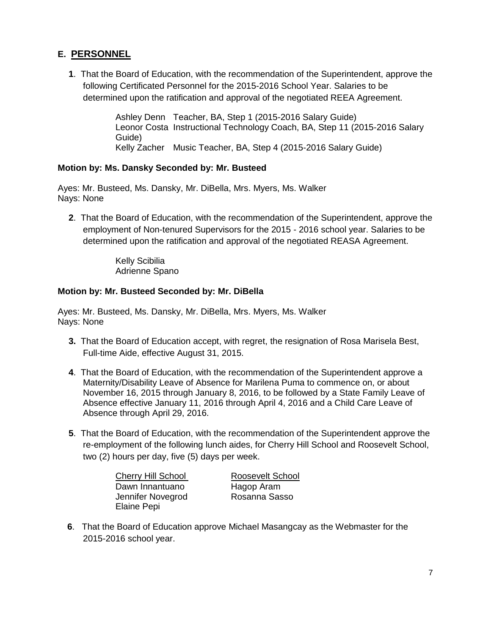# **E. PERSONNEL**

**1**. That the Board of Education, with the recommendation of the Superintendent, approve the following Certificated Personnel for the 2015-2016 School Year. Salaries to be determined upon the ratification and approval of the negotiated REEA Agreement.

> Ashley Denn Teacher, BA, Step 1 (2015-2016 Salary Guide) Leonor Costa Instructional Technology Coach, BA, Step 11 (2015-2016 Salary Guide) Kelly Zacher Music Teacher, BA, Step 4 (2015-2016 Salary Guide)

### **Motion by: Ms. Dansky Seconded by: Mr. Busteed**

Ayes: Mr. Busteed, Ms. Dansky, Mr. DiBella, Mrs. Myers, Ms. Walker Nays: None

**2**. That the Board of Education, with the recommendation of the Superintendent, approve the employment of Non-tenured Supervisors for the 2015 - 2016 school year. Salaries to be determined upon the ratification and approval of the negotiated REASA Agreement.

> Kelly Scibilia Adrienne Spano

### **Motion by: Mr. Busteed Seconded by: Mr. DiBella**

Ayes: Mr. Busteed, Ms. Dansky, Mr. DiBella, Mrs. Myers, Ms. Walker Nays: None

- **3.** That the Board of Education accept, with regret, the resignation of Rosa Marisela Best, Full-time Aide, effective August 31, 2015.
- **4**. That the Board of Education, with the recommendation of the Superintendent approve a Maternity/Disability Leave of Absence for Marilena Puma to commence on, or about November 16, 2015 through January 8, 2016, to be followed by a State Family Leave of Absence effective January 11, 2016 through April 4, 2016 and a Child Care Leave of Absence through April 29, 2016.
- **5**. That the Board of Education, with the recommendation of the Superintendent approve the re-employment of the following lunch aides, for Cherry Hill School and Roosevelt School, two (2) hours per day, five (5) days per week.

Cherry Hill School Roosevelt School Dawn Innantuano **Hagop Aram** Jennifer Novegrod Rosanna Sasso Elaine Pepi

 **6**. That the Board of Education approve Michael Masangcay as the Webmaster for the 2015-2016 school year.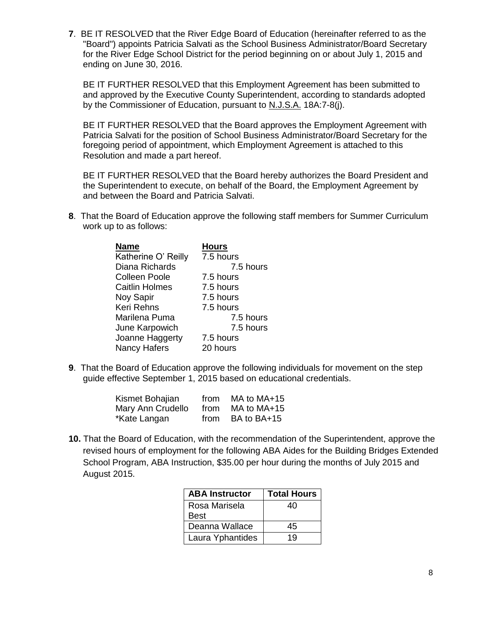**7**. BE IT RESOLVED that the River Edge Board of Education (hereinafter referred to as the "Board") appoints Patricia Salvati as the School Business Administrator/Board Secretary for the River Edge School District for the period beginning on or about July 1, 2015 and ending on June 30, 2016.

BE IT FURTHER RESOLVED that this Employment Agreement has been submitted to and approved by the Executive County Superintendent, according to standards adopted by the Commissioner of Education, pursuant to N.J.S.A. 18A:7-8(j).

BE IT FURTHER RESOLVED that the Board approves the Employment Agreement with Patricia Salvati for the position of School Business Administrator/Board Secretary for the foregoing period of appointment, which Employment Agreement is attached to this Resolution and made a part hereof.

BE IT FURTHER RESOLVED that the Board hereby authorizes the Board President and the Superintendent to execute, on behalf of the Board, the Employment Agreement by and between the Board and Patricia Salvati.

**8**. That the Board of Education approve the following staff members for Summer Curriculum work up to as follows:

| Name                  | <b>Hours</b> |
|-----------------------|--------------|
| Katherine O' Reilly   | 7.5 hours    |
| Diana Richards        | 7.5 hours    |
| <b>Colleen Poole</b>  | 7.5 hours    |
| <b>Caitlin Holmes</b> | 7.5 hours    |
| Noy Sapir             | 7.5 hours    |
| Keri Rehns            | 7.5 hours    |
| Marilena Puma         | 7.5 hours    |
| June Karpowich        | 7.5 hours    |
| Joanne Haggerty       | 7.5 hours    |
| <b>Nancy Hafers</b>   | 20 hours     |

**9**. That the Board of Education approve the following individuals for movement on the step guide effective September 1, 2015 based on educational credentials.

| Kismet Bohajian   | from | MA to MA+15 |
|-------------------|------|-------------|
| Mary Ann Crudello | from | MA to MA+15 |
| *Kate Langan      | from | BA to BA+15 |

**10.** That the Board of Education, with the recommendation of the Superintendent, approve the revised hours of employment for the following ABA Aides for the Building Bridges Extended School Program, ABA Instruction, \$35.00 per hour during the months of July 2015 and August 2015.

| <b>ABA Instructor</b> | <b>Total Hours</b> |
|-----------------------|--------------------|
| Rosa Marisela         | 40                 |
| Best                  |                    |
| Deanna Wallace        | 45                 |
| Laura Yphantides      | 19                 |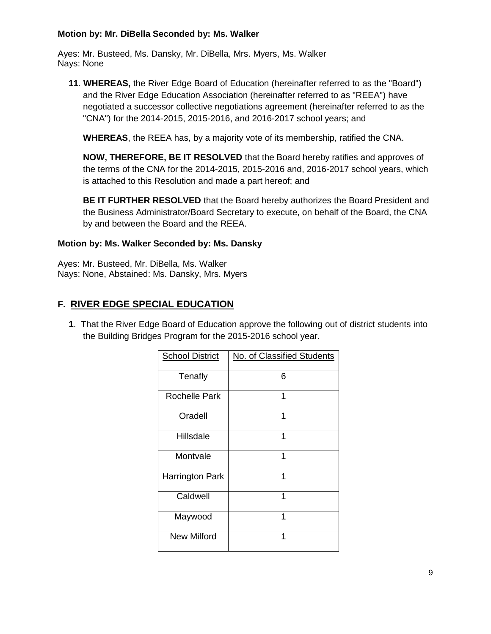### **Motion by: Mr. DiBella Seconded by: Ms. Walker**

Ayes: Mr. Busteed, Ms. Dansky, Mr. DiBella, Mrs. Myers, Ms. Walker Nays: None

**11**. **WHEREAS,** the River Edge Board of Education (hereinafter referred to as the "Board") and the River Edge Education Association (hereinafter referred to as "REEA") have negotiated a successor collective negotiations agreement (hereinafter referred to as the "CNA") for the 2014-2015, 2015-2016, and 2016-2017 school years; and

**WHEREAS**, the REEA has, by a majority vote of its membership, ratified the CNA.

**NOW, THEREFORE, BE IT RESOLVED** that the Board hereby ratifies and approves of the terms of the CNA for the 2014-2015, 2015-2016 and, 2016-2017 school years, which is attached to this Resolution and made a part hereof; and

**BE IT FURTHER RESOLVED** that the Board hereby authorizes the Board President and the Business Administrator/Board Secretary to execute, on behalf of the Board, the CNA by and between the Board and the REEA.

### **Motion by: Ms. Walker Seconded by: Ms. Dansky**

Ayes: Mr. Busteed, Mr. DiBella, Ms. Walker Nays: None, Abstained: Ms. Dansky, Mrs. Myers

## **F. RIVER EDGE SPECIAL EDUCATION**

 **1**. That the River Edge Board of Education approve the following out of district students into the Building Bridges Program for the 2015-2016 school year.

| <b>School District</b> | No. of Classified Students |
|------------------------|----------------------------|
| Tenafly                | 6                          |
| <b>Rochelle Park</b>   | 1                          |
| Oradell                | 1                          |
| Hillsdale              | 1                          |
| Montvale               | 1                          |
| <b>Harrington Park</b> | 1                          |
| Caldwell               | 1                          |
| Maywood                | 1                          |
| <b>New Milford</b>     | 1                          |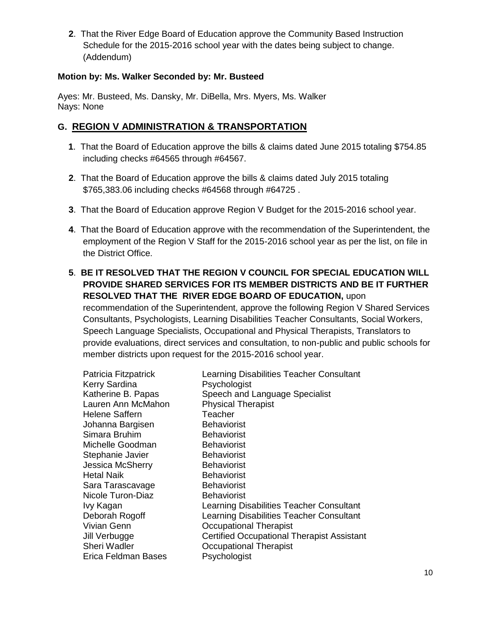**2**. That the River Edge Board of Education approve the Community Based Instruction Schedule for the 2015-2016 school year with the dates being subject to change. (Addendum)

### **Motion by: Ms. Walker Seconded by: Mr. Busteed**

Ayes: Mr. Busteed, Ms. Dansky, Mr. DiBella, Mrs. Myers, Ms. Walker Nays: None

## **G. REGION V ADMINISTRATION & TRANSPORTATION**

- **1**. That the Board of Education approve the bills & claims dated June 2015 totaling \$754.85 including checks #64565 through #64567.
- **2**. That the Board of Education approve the bills & claims dated July 2015 totaling \$765,383.06 including checks #64568 through #64725 .
- **3**. That the Board of Education approve Region V Budget for the 2015-2016 school year.
- **4**. That the Board of Education approve with the recommendation of the Superintendent, the employment of the Region V Staff for the 2015-2016 school year as per the list, on file in the District Office.
- **5**. **BE IT RESOLVED THAT THE REGION V COUNCIL FOR SPECIAL EDUCATION WILL PROVIDE SHARED SERVICES FOR ITS MEMBER DISTRICTS AND BE IT FURTHER RESOLVED THAT THE RIVER EDGE BOARD OF EDUCATION,** upon

recommendation of the Superintendent, approve the following Region V Shared Services Consultants, Psychologists, Learning Disabilities Teacher Consultants, Social Workers, Speech Language Specialists, Occupational and Physical Therapists, Translators to provide evaluations, direct services and consultation, to non-public and public schools for member districts upon request for the 2015-2016 school year.

| Patricia Fitzpatrick | Learning Disabilities Teacher Consultant          |
|----------------------|---------------------------------------------------|
| Kerry Sardina        | Psychologist                                      |
| Katherine B. Papas   | Speech and Language Specialist                    |
| Lauren Ann McMahon   | <b>Physical Therapist</b>                         |
| Helene Saffern       | Teacher                                           |
| Johanna Bargisen     | <b>Behaviorist</b>                                |
| Simara Bruhim        | <b>Behaviorist</b>                                |
| Michelle Goodman     | <b>Behaviorist</b>                                |
| Stephanie Javier     | <b>Behaviorist</b>                                |
| Jessica McSherry     | <b>Behaviorist</b>                                |
| Hetal Naik           | <b>Behaviorist</b>                                |
| Sara Tarascavage     | <b>Behaviorist</b>                                |
| Nicole Turon-Diaz    | <b>Behaviorist</b>                                |
| Ivy Kagan            | Learning Disabilities Teacher Consultant          |
| Deborah Rogoff       | Learning Disabilities Teacher Consultant          |
| Vivian Genn          | <b>Occupational Therapist</b>                     |
| Jill Verbugge        | <b>Certified Occupational Therapist Assistant</b> |
| <b>Sheri Wadler</b>  | <b>Occupational Therapist</b>                     |
| Erica Feldman Bases  | Psychologist                                      |
|                      |                                                   |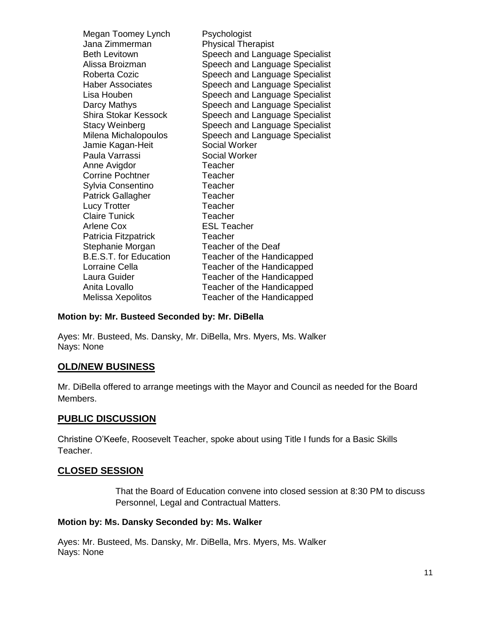| Megan Toomey Lynch<br>Jana Zimmerman<br><b>Beth Levitown</b><br>Alissa Broizman<br>Roberta Cozic<br><b>Haber Associates</b><br>Lisa Houben | Psychologist<br><b>Physical Therapist</b><br>Speech and Language Specialist<br>Speech and Language Specialist<br>Speech and Language Specialist<br>Speech and Language Specialist<br>Speech and Language Specialist |
|--------------------------------------------------------------------------------------------------------------------------------------------|---------------------------------------------------------------------------------------------------------------------------------------------------------------------------------------------------------------------|
| Darcy Mathys                                                                                                                               | Speech and Language Specialist                                                                                                                                                                                      |
| <b>Shira Stokar Kessock</b>                                                                                                                | Speech and Language Specialist                                                                                                                                                                                      |
| <b>Stacy Weinberg</b>                                                                                                                      | Speech and Language Specialist                                                                                                                                                                                      |
| Milena Michalopoulos                                                                                                                       | Speech and Language Specialist                                                                                                                                                                                      |
| Jamie Kagan-Heit                                                                                                                           | Social Worker                                                                                                                                                                                                       |
| Paula Varrassi                                                                                                                             | <b>Social Worker</b>                                                                                                                                                                                                |
| Anne Avigdor                                                                                                                               | Teacher                                                                                                                                                                                                             |
| <b>Corrine Pochtner</b>                                                                                                                    | Teacher                                                                                                                                                                                                             |
| Sylvia Consentino                                                                                                                          | Teacher                                                                                                                                                                                                             |
| <b>Patrick Gallagher</b>                                                                                                                   | Teacher                                                                                                                                                                                                             |
| <b>Lucy Trotter</b>                                                                                                                        | Teacher                                                                                                                                                                                                             |
| <b>Claire Tunick</b>                                                                                                                       | Teacher                                                                                                                                                                                                             |
| <b>Arlene Cox</b>                                                                                                                          | <b>ESL Teacher</b>                                                                                                                                                                                                  |
| Patricia Fitzpatrick                                                                                                                       | Teacher                                                                                                                                                                                                             |
| Stephanie Morgan                                                                                                                           | Teacher of the Deaf                                                                                                                                                                                                 |
| <b>B.E.S.T. for Education</b>                                                                                                              | Teacher of the Handicapped                                                                                                                                                                                          |
| Lorraine Cella                                                                                                                             | Teacher of the Handicapped                                                                                                                                                                                          |
| Laura Guider                                                                                                                               | Teacher of the Handicapped                                                                                                                                                                                          |
| Anita Lovallo                                                                                                                              | Teacher of the Handicapped                                                                                                                                                                                          |
| Melissa Xepolitos                                                                                                                          | Teacher of the Handicapped                                                                                                                                                                                          |

#### **Motion by: Mr. Busteed Seconded by: Mr. DiBella**

Ayes: Mr. Busteed, Ms. Dansky, Mr. DiBella, Mrs. Myers, Ms. Walker Nays: None

### **OLD/NEW BUSINESS**

Mr. DiBella offered to arrange meetings with the Mayor and Council as needed for the Board Members.

### **PUBLIC DISCUSSION**

Christine O'Keefe, Roosevelt Teacher, spoke about using Title I funds for a Basic Skills Teacher.

#### **CLOSED SESSION**

That the Board of Education convene into closed session at 8:30 PM to discuss Personnel, Legal and Contractual Matters.

#### **Motion by: Ms. Dansky Seconded by: Ms. Walker**

Ayes: Mr. Busteed, Ms. Dansky, Mr. DiBella, Mrs. Myers, Ms. Walker Nays: None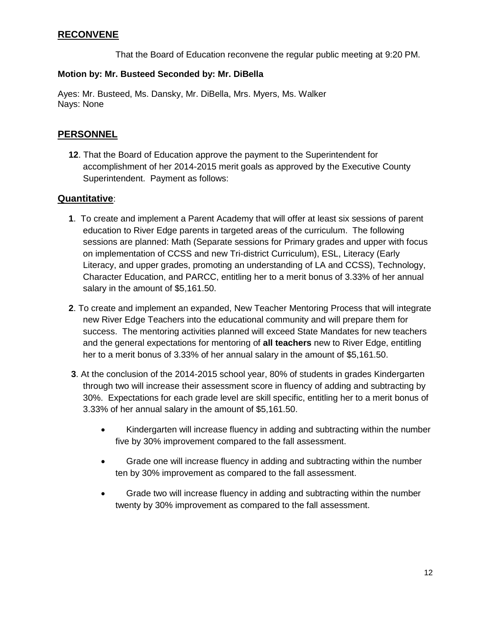## **RECONVENE**

That the Board of Education reconvene the regular public meeting at 9:20 PM.

### **Motion by: Mr. Busteed Seconded by: Mr. DiBella**

Ayes: Mr. Busteed, Ms. Dansky, Mr. DiBella, Mrs. Myers, Ms. Walker Nays: None

## **PERSONNEL**

**12**. That the Board of Education approve the payment to the Superintendent for accomplishment of her 2014-2015 merit goals as approved by the Executive County Superintendent. Payment as follows:

### **Quantitative**:

- **1**. To create and implement a Parent Academy that will offer at least six sessions of parent education to River Edge parents in targeted areas of the curriculum. The following sessions are planned: Math (Separate sessions for Primary grades and upper with focus on implementation of CCSS and new Tri-district Curriculum), ESL, Literacy (Early Literacy, and upper grades, promoting an understanding of LA and CCSS), Technology, Character Education, and PARCC, entitling her to a merit bonus of 3.33% of her annual salary in the amount of \$5,161.50.
- **2**. To create and implement an expanded, New Teacher Mentoring Process that will integrate new River Edge Teachers into the educational community and will prepare them for success. The mentoring activities planned will exceed State Mandates for new teachers and the general expectations for mentoring of **all teachers** new to River Edge, entitling her to a merit bonus of 3.33% of her annual salary in the amount of \$5,161.50.
- **3**. At the conclusion of the 2014-2015 school year, 80% of students in grades Kindergarten through two will increase their assessment score in fluency of adding and subtracting by 30%. Expectations for each grade level are skill specific, entitling her to a merit bonus of 3.33% of her annual salary in the amount of \$5,161.50.
	- Kindergarten will increase fluency in adding and subtracting within the number five by 30% improvement compared to the fall assessment.
	- Grade one will increase fluency in adding and subtracting within the number ten by 30% improvement as compared to the fall assessment.
	- Grade two will increase fluency in adding and subtracting within the number twenty by 30% improvement as compared to the fall assessment.